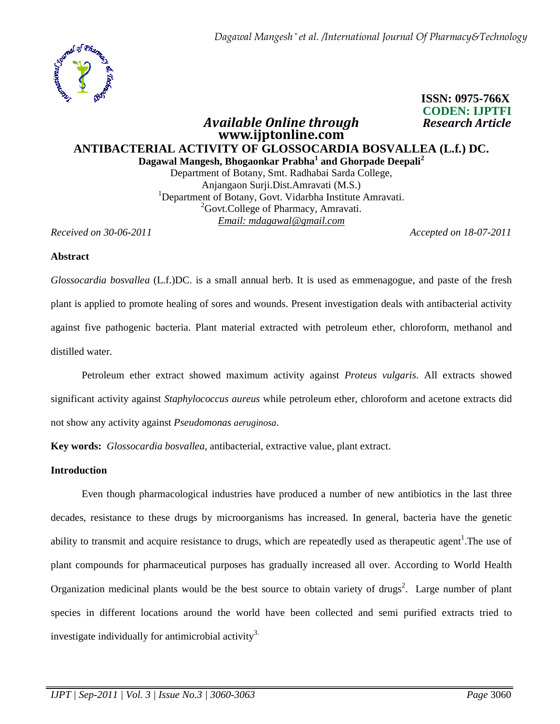*Dagawal Mangesh \* et al. /International Journal Of Pharmacy&Technology*



# **ISSN: 0975-766X CODEN: IJPTFI**   *Available Online through Research Article*

## **www.ijptonline.com ANTIBACTERIAL ACTIVITY OF GLOSSOCARDIA BOSVALLEA (L.f.) DC. Dagawal Mangesh, Bhogaonkar Prabha<sup>1</sup> and Ghorpade Deepali<sup>2</sup>**

Department of Botany, Smt. Radhabai Sarda College, Anjangaon Surji.Dist.Amravati (M.S.) <sup>1</sup>Department of Botany, Govt. Vidarbha Institute Amravati. <sup>2</sup>Govt.College of Pharmacy, Amravati. *Email: mdagawal@gmail.com*

*Received on 30-06-2011 Accepted on 18-07-2011*

### **Abstract**

*Glossocardia bosvallea* (L.f.)DC. is a small annual herb. It is used as emmenagogue, and paste of the fresh plant is applied to promote healing of sores and wounds. Present investigation deals with antibacterial activity against five pathogenic bacteria. Plant material extracted with petroleum ether, chloroform, methanol and distilled water.

 Petroleum ether extract showed maximum activity against *Proteus vulgaris*. All extracts showed significant activity against *Staphylococcus aureus* while petroleum ether, chloroform and acetone extracts did not show any activity against *Pseudomonas aeruginosa*.

**Key words:** *Glossocardia bosvallea*, antibacterial, extractive value, plant extract.

#### **Introduction**

Even though pharmacological industries have produced a number of new antibiotics in the last three decades, resistance to these drugs by microorganisms has increased. In general, bacteria have the genetic ability to transmit and acquire resistance to drugs, which are repeatedly used as therapeutic agent<sup>1</sup>. The use of plant compounds for pharmaceutical purposes has gradually increased all over. According to World Health Organization medicinal plants would be the best source to obtain variety of drugs<sup>2</sup>. Large number of plant species in different locations around the world have been collected and semi purified extracts tried to investigate individually for antimicrobial activity<sup>3.</sup>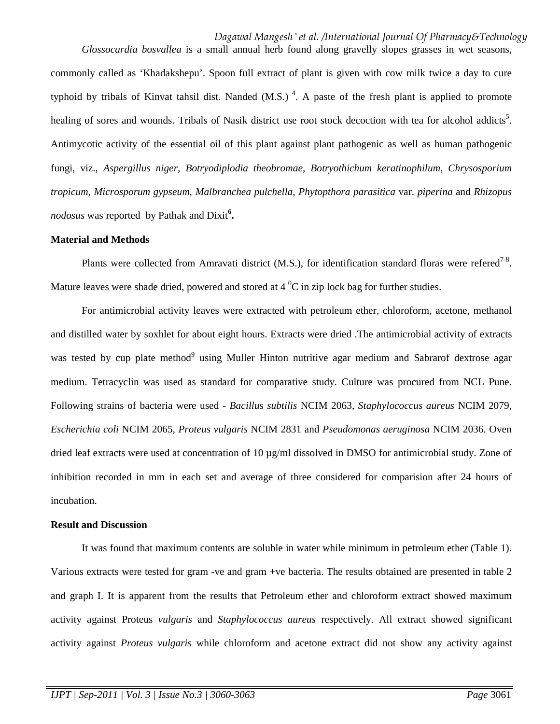*Dagawal Mangesh \* et al. /International Journal Of Pharmacy&Technology Glossocardia bosvallea* is a small annual herb found along gravelly slopes grasses in wet seasons,

commonly called as 'Khadakshepu'. Spoon full extract of plant is given with cow milk twice a day to cure typhoid by tribals of Kinvat tahsil dist. Nanded  $(M.S.)$ <sup>4</sup>. A paste of the fresh plant is applied to promote healing of sores and wounds. Tribals of Nasik district use root stock decoction with tea for alcohol addicts<sup>5</sup>. Antimycotic activity of the essential oil of this plant against plant pathogenic as well as human pathogenic fungi, viz., *Aspergillus niger, Botryodiplodia theobromae, Botryothichum keratinophilum, Chrysosporium tropicum, Microsporum gypseum, Malbranchea pulchella, Phytopthora parasitica* var. *piperina* and *Rhizopus nodosus* was reported by Pathak and Dixit**<sup>6</sup> .**

#### **Material and Methods**

Plants were collected from Amravati district (M.S.), for identification standard floras were refered<sup>7-8</sup>. Mature leaves were shade dried, powered and stored at  $4^{\circ}C$  in zip lock bag for further studies.

 For antimicrobial activity leaves were extracted with petroleum ether, chloroform, acetone, methanol and distilled water by soxhlet for about eight hours. Extracts were dried .The antimicrobial activity of extracts was tested by cup plate method<sup>9</sup> using Muller Hinton nutritive agar medium and Sabrarof dextrose agar medium. Tetracyclin was used as standard for comparative study. Culture was procured from NCL Pune. Following strains of bacteria were used - *Bacillu*s *subtilis* NCIM 2063, *Staphylococcus aureus* NCIM 2079, *Escherichia coli* NCIM 2065, *Proteus vulgaris* NCIM 2831 and *Pseudomonas aeruginosa* NCIM 2036. Oven dried leaf extracts were used at concentration of 10 µg/ml dissolved in DMSO for antimicrobial study. Zone of inhibition recorded in mm in each set and average of three considered for comparision after 24 hours of incubation.

#### **Result and Discussion**

 It was found that maximum contents are soluble in water while minimum in petroleum ether (Table 1). Various extracts were tested for gram -ve and gram +ve bacteria. The results obtained are presented in table 2 and graph I. It is apparent from the results that Petroleum ether and chloroform extract showed maximum activity against Proteus *vulgaris* and *Staphylococcus aureus* respectively. All extract showed significant activity against *Proteus vulgaris* while chloroform and acetone extract did not show any activity against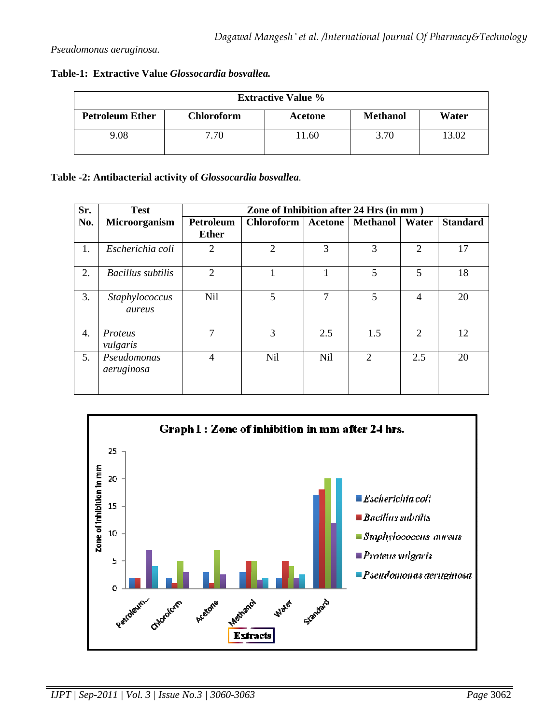| <b>Extractive Value %</b> |                   |         |                 |       |  |  |  |  |
|---------------------------|-------------------|---------|-----------------|-------|--|--|--|--|
| <b>Petroleum Ether</b>    | <b>Chloroform</b> | Acetone | <b>Methanol</b> | Water |  |  |  |  |
| 9.08                      | 7.70              | 1.60    | 3.70            | 13.02 |  |  |  |  |

**Table -2: Antibacterial activity of** *Glossocardia bosvallea.*

| Sr. | <b>Test</b>               | Zone of Inhibition after 24 Hrs (in mm) |                   |         |                 |                             |                 |  |
|-----|---------------------------|-----------------------------------------|-------------------|---------|-----------------|-----------------------------|-----------------|--|
| No. | Microorganism             | Petroleum                               | <b>Chloroform</b> | Acetone | <b>Methanol</b> | Water                       | <b>Standard</b> |  |
|     |                           | <b>Ether</b>                            |                   |         |                 |                             |                 |  |
| 1.  | Escherichia coli          | $\overline{2}$                          | $\overline{2}$    | 3       | 3               | $\mathfrak{2}$              | 17              |  |
| 2.  | Bacillus subtilis         | $\overline{2}$                          |                   |         | 5               | 5                           | 18              |  |
| 3.  | Staphylococcus<br>aureus  | <b>Nil</b>                              | 5                 | 7       | 5               | 4                           | 20              |  |
| 4.  | Proteus<br>vulgaris       | 7                                       | 3                 | 2.5     | 1.5             | $\mathcal{D}_{\mathcal{L}}$ | 12              |  |
| 5.  | Pseudomonas<br>aeruginosa | $\overline{4}$                          | <b>Nil</b>        | Nil     | $\mathfrak{D}$  | 2.5                         | 20              |  |